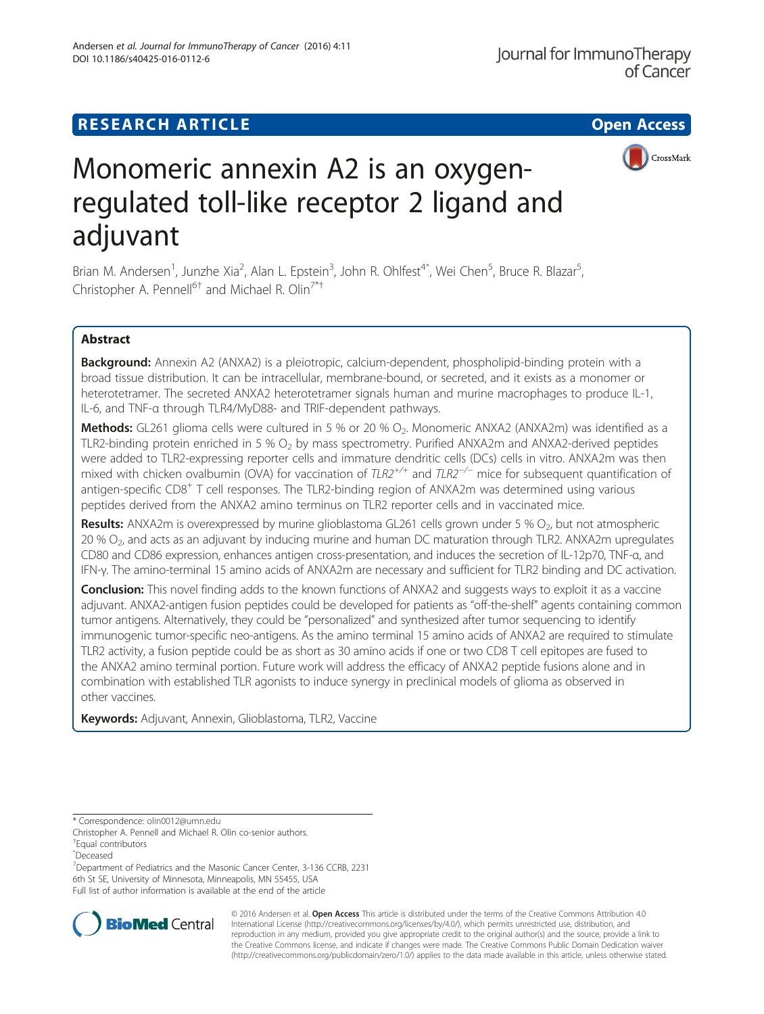DOI 10.1186/s40425-016-0112-6

Andersen et al. Journal for ImmunoTherapy of Cancer (2016) 4:11

CrossMark

# Monomeric annexin A2 is an oxygenregulated toll-like receptor 2 ligand and adjuvant

Brian M. Andersen<sup>1</sup>, Junzhe Xia<sup>2</sup>, Alan L. Epstein<sup>3</sup>, John R. Ohlfest<sup>4^</sup>, Wei Chen<sup>5</sup>, Bruce R. Blazar<sup>5</sup> , Christopher A. Pennell<sup>6†</sup> and Michael R. Olin<sup>7\*†</sup>

# Abstract

Background: Annexin A2 (ANXA2) is a pleiotropic, calcium-dependent, phospholipid-binding protein with a broad tissue distribution. It can be intracellular, membrane-bound, or secreted, and it exists as a monomer or heterotetramer. The secreted ANXA2 heterotetramer signals human and murine macrophages to produce IL-1, IL-6, and TNF-α through TLR4/MyD88- and TRIF-dependent pathways.

Methods: GL261 glioma cells were cultured in 5 % or 20 % O<sub>2</sub>. Monomeric ANXA2 (ANXA2m) was identified as a TLR2-binding protein enriched in 5 %  $O<sub>2</sub>$  by mass spectrometry. Purified ANXA2m and ANXA2-derived peptides were added to TLR2-expressing reporter cells and immature dendritic cells (DCs) cells in vitro. ANXA2m was then mixed with chicken ovalbumin (OVA) for vaccination of TLR2<sup>+/+</sup> and TLR2<sup>−/−</sup> mice for subsequent quantification of antigen-specific CD8<sup>+</sup> T cell responses. The TLR2-binding region of ANXA2m was determined using various peptides derived from the ANXA2 amino terminus on TLR2 reporter cells and in vaccinated mice.

**Results:** ANXA2m is overexpressed by murine glioblastoma GL261 cells grown under 5 %  $O_2$ , but not atmospheric 20 % O<sub>2</sub>, and acts as an adjuvant by inducing murine and human DC maturation through TLR2. ANXA2m upregulates CD80 and CD86 expression, enhances antigen cross-presentation, and induces the secretion of IL-12p70, TNF-α, and IFN-γ. The amino-terminal 15 amino acids of ANXA2m are necessary and sufficient for TLR2 binding and DC activation.

**Conclusion:** This novel finding adds to the known functions of ANXA2 and suggests ways to exploit it as a vaccine adjuvant. ANXA2-antigen fusion peptides could be developed for patients as "off-the-shelf" agents containing common tumor antigens. Alternatively, they could be "personalized" and synthesized after tumor sequencing to identify immunogenic tumor-specific neo-antigens. As the amino terminal 15 amino acids of ANXA2 are required to stimulate TLR2 activity, a fusion peptide could be as short as 30 amino acids if one or two CD8 T cell epitopes are fused to the ANXA2 amino terminal portion. Future work will address the efficacy of ANXA2 peptide fusions alone and in combination with established TLR agonists to induce synergy in preclinical models of glioma as observed in other vaccines.

Keywords: Adjuvant, Annexin, Glioblastoma, TLR2, Vaccine

\* Correspondence: [olin0012@umn.edu](mailto:olin0012@umn.edu)

Christopher A. Pennell and Michael R. Olin co-senior authors.

† Equal contributors

ˆDeceased

<sup>7</sup>Department of Pediatrics and the Masonic Cancer Center, 3-136 CCRB, 2231 6th St SE, University of Minnesota, Minneapolis, MN 55455, USA Full list of author information is available at the end of the article



© 2016 Andersen et al. Open Access This article is distributed under the terms of the Creative Commons Attribution 4.0 International License [\(http://creativecommons.org/licenses/by/4.0/](http://creativecommons.org/licenses/by/4.0/)), which permits unrestricted use, distribution, and reproduction in any medium, provided you give appropriate credit to the original author(s) and the source, provide a link to the Creative Commons license, and indicate if changes were made. The Creative Commons Public Domain Dedication waiver [\(http://creativecommons.org/publicdomain/zero/1.0/](http://creativecommons.org/publicdomain/zero/1.0/)) applies to the data made available in this article, unless otherwise stated.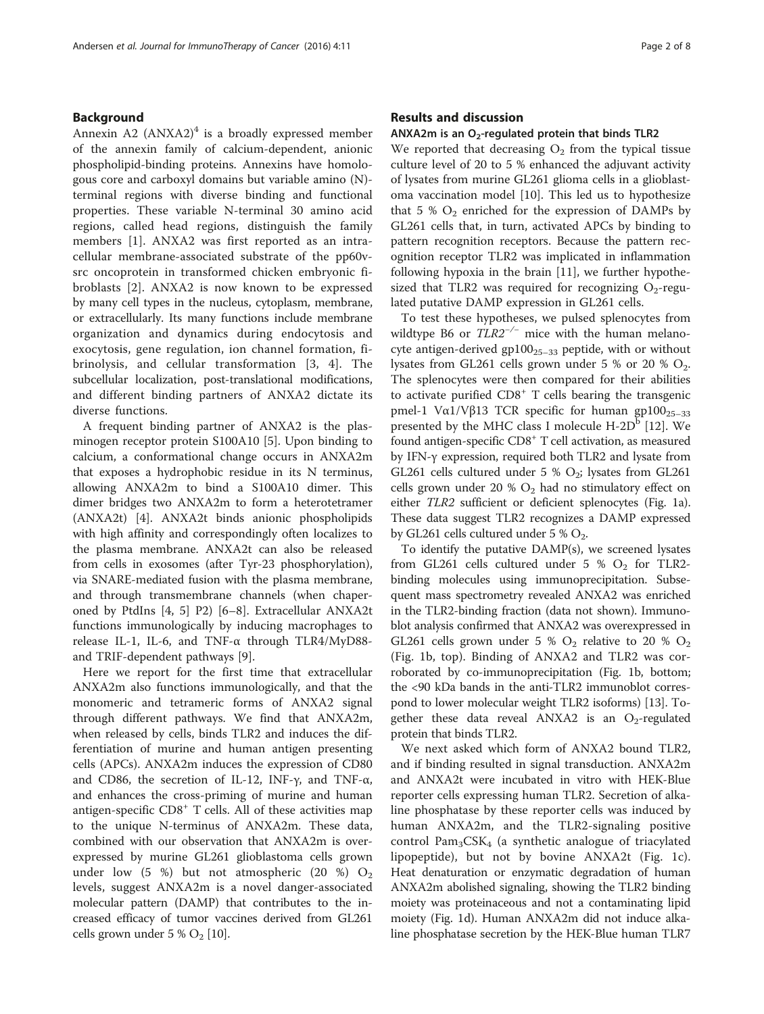## Background

Annexin A2  $(ANXA2)^4$  is a broadly expressed member of the annexin family of calcium-dependent, anionic phospholipid-binding proteins. Annexins have homologous core and carboxyl domains but variable amino (N) terminal regions with diverse binding and functional properties. These variable N-terminal 30 amino acid regions, called head regions, distinguish the family members [\[1](#page-7-0)]. ANXA2 was first reported as an intracellular membrane-associated substrate of the pp60vsrc oncoprotein in transformed chicken embryonic fibroblasts [\[2](#page-7-0)]. ANXA2 is now known to be expressed by many cell types in the nucleus, cytoplasm, membrane, or extracellularly. Its many functions include membrane organization and dynamics during endocytosis and exocytosis, gene regulation, ion channel formation, fibrinolysis, and cellular transformation [[3, 4](#page-7-0)]. The subcellular localization, post-translational modifications, and different binding partners of ANXA2 dictate its diverse functions.

A frequent binding partner of ANXA2 is the plasminogen receptor protein S100A10 [[5\]](#page-7-0). Upon binding to calcium, a conformational change occurs in ANXA2m that exposes a hydrophobic residue in its N terminus, allowing ANXA2m to bind a S100A10 dimer. This dimer bridges two ANXA2m to form a heterotetramer (ANXA2t) [[4\]](#page-7-0). ANXA2t binds anionic phospholipids with high affinity and correspondingly often localizes to the plasma membrane. ANXA2t can also be released from cells in exosomes (after Tyr-23 phosphorylation), via SNARE-mediated fusion with the plasma membrane, and through transmembrane channels (when chaperoned by PtdIns [[4, 5\]](#page-7-0) P2) [\[6](#page-7-0)–[8](#page-7-0)]. Extracellular ANXA2t functions immunologically by inducing macrophages to release IL-1, IL-6, and TNF-α through TLR4/MyD88 and TRIF-dependent pathways [[9\]](#page-7-0).

Here we report for the first time that extracellular ANXA2m also functions immunologically, and that the monomeric and tetrameric forms of ANXA2 signal through different pathways. We find that ANXA2m, when released by cells, binds TLR2 and induces the differentiation of murine and human antigen presenting cells (APCs). ANXA2m induces the expression of CD80 and CD86, the secretion of IL-12, INF-γ, and TNF- $α$ , and enhances the cross-priming of murine and human antigen-specific CD8<sup>+</sup> T cells. All of these activities map to the unique N-terminus of ANXA2m. These data, combined with our observation that ANXA2m is overexpressed by murine GL261 glioblastoma cells grown under low (5 %) but not atmospheric (20 %)  $O_2$ levels, suggest ANXA2m is a novel danger-associated molecular pattern (DAMP) that contributes to the increased efficacy of tumor vaccines derived from GL261 cells grown under 5 %  $O_2$  [[10](#page-7-0)].

## Results and discussion

#### ANXA2m is an  $O<sub>2</sub>$ -regulated protein that binds TLR2

We reported that decreasing  $O_2$  from the typical tissue culture level of 20 to 5 % enhanced the adjuvant activity of lysates from murine GL261 glioma cells in a glioblastoma vaccination model [[10\]](#page-7-0). This led us to hypothesize that 5 %  $O_2$  enriched for the expression of DAMPs by GL261 cells that, in turn, activated APCs by binding to pattern recognition receptors. Because the pattern recognition receptor TLR2 was implicated in inflammation following hypoxia in the brain [[11\]](#page-7-0), we further hypothesized that TLR2 was required for recognizing  $O_2$ -regulated putative DAMP expression in GL261 cells.

To test these hypotheses, we pulsed splenocytes from wildtype B6 or  $TLR2^{-/-}$  mice with the human melanocyte antigen-derived  $gp100_{25-33}$  peptide, with or without lysates from GL261 cells grown under 5 % or 20 %  $O_2$ . The splenocytes were then compared for their abilities to activate purified  $CD8<sup>+</sup>$  T cells bearing the transgenic pmel-1 Vα1/Vβ13 TCR specific for human gp100<sub>25-33</sub> presented by the MHC class I molecule  $H\text{-}2D^b$  [[12\]](#page-7-0). We found antigen-specific CD8+ T cell activation, as measured by IFN-γ expression, required both TLR2 and lysate from GL261 cells cultured under 5 %  $O_2$ ; lysates from GL261 cells grown under 20 %  $O_2$  had no stimulatory effect on either TLR2 sufficient or deficient splenocytes (Fig. [1a](#page-2-0)). These data suggest TLR2 recognizes a DAMP expressed by GL261 cells cultured under  $5\%$  O<sub>2</sub>.

To identify the putative DAMP(s), we screened lysates from GL261 cells cultured under 5 %  $O_2$  for TLR2binding molecules using immunoprecipitation. Subsequent mass spectrometry revealed ANXA2 was enriched in the TLR2-binding fraction (data not shown). Immunoblot analysis confirmed that ANXA2 was overexpressed in GL261 cells grown under 5 %  $O_2$  relative to 20 %  $O_2$ (Fig. [1b](#page-2-0), top). Binding of ANXA2 and TLR2 was corroborated by co-immunoprecipitation (Fig. [1b,](#page-2-0) bottom; the <90 kDa bands in the anti-TLR2 immunoblot correspond to lower molecular weight TLR2 isoforms) [[13](#page-7-0)]. Together these data reveal ANXA2 is an  $O<sub>2</sub>$ -regulated protein that binds TLR2.

We next asked which form of ANXA2 bound TLR2, and if binding resulted in signal transduction. ANXA2m and ANXA2t were incubated in vitro with HEK-Blue reporter cells expressing human TLR2. Secretion of alkaline phosphatase by these reporter cells was induced by human ANXA2m, and the TLR2-signaling positive control  $Pam_3CSK_4$  (a synthetic analogue of triacylated lipopeptide), but not by bovine ANXA2t (Fig. [1c](#page-2-0)). Heat denaturation or enzymatic degradation of human ANXA2m abolished signaling, showing the TLR2 binding moiety was proteinaceous and not a contaminating lipid moiety (Fig. [1d\)](#page-2-0). Human ANXA2m did not induce alkaline phosphatase secretion by the HEK-Blue human TLR7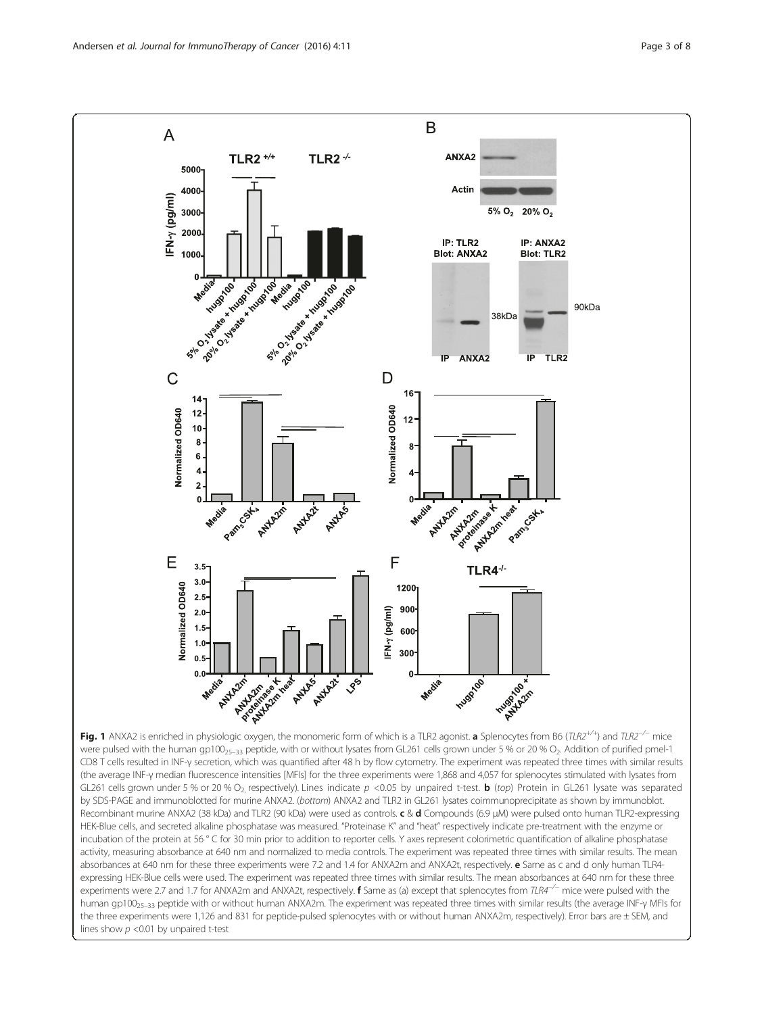<span id="page-2-0"></span>

were pulsed with the human gp100 $_{25-33}$  peptide, with or without lysates from GL261 cells grown under 5 % or 20 % O<sub>2</sub>. Addition of purified pmel-1 CD8 T cells resulted in INF-γ secretion, which was quantified after 48 h by flow cytometry. The experiment was repeated three times with similar results (the average INF-γ median fluorescence intensities [MFIs] for the three experiments were 1,868 and 4,057 for splenocytes stimulated with lysates from GL261 cells grown under 5 % or 20 % O<sub>2</sub> respectively). Lines indicate  $p < 0.05$  by unpaired t-test. **b** (top) Protein in GL261 lysate was separated by SDS-PAGE and immunoblotted for murine ANXA2. (bottom) ANXA2 and TLR2 in GL261 lysates coimmunoprecipitate as shown by immunoblot. Recombinant murine ANXA2 (38 kDa) and TLR2 (90 kDa) were used as controls. c & d Compounds (6.9 μM) were pulsed onto human TLR2-expressing HEK-Blue cells, and secreted alkaline phosphatase was measured. "Proteinase K" and "heat" respectively indicate pre-treatment with the enzyme or incubation of the protein at 56 ° C for 30 min prior to addition to reporter cells. Y axes represent colorimetric quantification of alkaline phosphatase activity, measuring absorbance at 640 nm and normalized to media controls. The experiment was repeated three times with similar results. The mean absorbances at 640 nm for these three experiments were 7.2 and 1.4 for ANXA2m and ANXA2t, respectively. e Same as c and d only human TLR4expressing HEK-Blue cells were used. The experiment was repeated three times with similar results. The mean absorbances at 640 nm for these three experiments were 2.7 and 1.7 for ANXA2m and ANXA2t, respectively. f Same as (a) except that splenocytes from TLR4<sup>-/−</sup> mice were pulsed with the human gp100<sub>25-33</sub> peptide with or without human ANXA2m. The experiment was repeated three times with similar results (the average INF-γ MFIs for the three experiments were 1,126 and 831 for peptide-pulsed splenocytes with or without human ANXA2m, respectively). Error bars are ± SEM, and lines show  $p < 0.01$  by unpaired t-test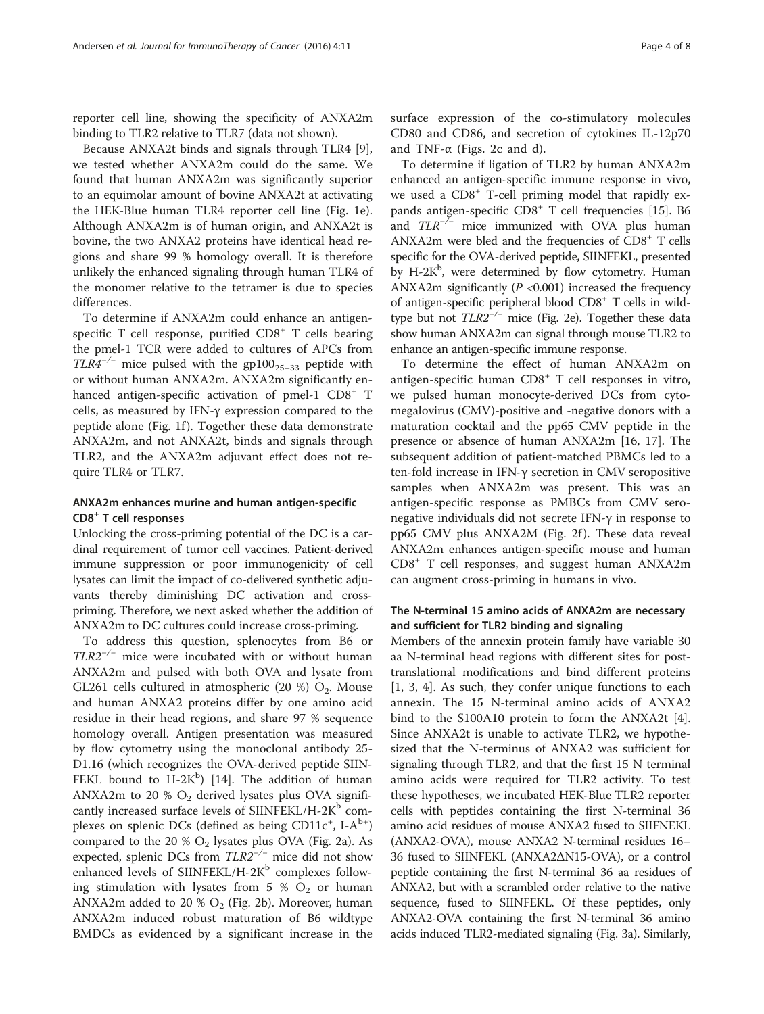reporter cell line, showing the specificity of ANXA2m binding to TLR2 relative to TLR7 (data not shown).

Because ANXA2t binds and signals through TLR4 [\[9](#page-7-0)], we tested whether ANXA2m could do the same. We found that human ANXA2m was significantly superior to an equimolar amount of bovine ANXA2t at activating the HEK-Blue human TLR4 reporter cell line (Fig. [1e](#page-2-0)). Although ANXA2m is of human origin, and ANXA2t is bovine, the two ANXA2 proteins have identical head regions and share 99 % homology overall. It is therefore unlikely the enhanced signaling through human TLR4 of the monomer relative to the tetramer is due to species differences.

To determine if ANXA2m could enhance an antigenspecific T cell response, purified CD8<sup>+</sup> T cells bearing the pmel-1 TCR were added to cultures of APCs from  $TLR4^{-/-}$  mice pulsed with the gp100<sub>25–33</sub> peptide with or without human ANXA2m. ANXA2m significantly enhanced antigen-specific activation of pmel-1 CD8<sup>+</sup> T cells, as measured by IFN-γ expression compared to the peptide alone (Fig. [1f](#page-2-0)). Together these data demonstrate ANXA2m, and not ANXA2t, binds and signals through TLR2, and the ANXA2m adjuvant effect does not require TLR4 or TLR7.

## ANXA2m enhances murine and human antigen-specific CD8<sup>+</sup> T cell responses

Unlocking the cross-priming potential of the DC is a cardinal requirement of tumor cell vaccines. Patient-derived immune suppression or poor immunogenicity of cell lysates can limit the impact of co-delivered synthetic adjuvants thereby diminishing DC activation and crosspriming. Therefore, we next asked whether the addition of ANXA2m to DC cultures could increase cross-priming.

To address this question, splenocytes from B6 or TLR2−/<sup>−</sup> mice were incubated with or without human ANXA2m and pulsed with both OVA and lysate from GL261 cells cultured in atmospheric (20 %)  $O_2$ . Mouse and human ANXA2 proteins differ by one amino acid residue in their head regions, and share 97 % sequence homology overall. Antigen presentation was measured by flow cytometry using the monoclonal antibody 25- D1.16 (which recognizes the OVA-derived peptide SIIN-FEKL bound to  $H-2K^b$ ) [[14\]](#page-7-0). The addition of human ANXA2m to 20 %  $O_2$  derived lysates plus OVA significantly increased surface levels of SIINFEKL/H-2 $K<sup>b</sup>$  complexes on splenic DCs (defined as being CD11c<sup>+</sup>, I-A<sup>b+</sup>) compared to the 20 %  $O_2$  lysates plus OVA (Fig. [2a](#page-4-0)). As expected, splenic DCs from  $TLR2^{-/-}$  mice did not show enhanced levels of SIINFEKL/H-2K $^{\rm b}$  complexes following stimulation with lysates from 5 %  $O_2$  or human ANXA2m added to 20 %  $O_2$  (Fig. [2b\)](#page-4-0). Moreover, human ANXA2m induced robust maturation of B6 wildtype BMDCs as evidenced by a significant increase in the surface expression of the co-stimulatory molecules CD80 and CD86, and secretion of cytokines IL-12p70 and TNF- $\alpha$  (Figs. [2c and d](#page-4-0)).

To determine if ligation of TLR2 by human ANXA2m enhanced an antigen-specific immune response in vivo, we used a CD8<sup>+</sup> T-cell priming model that rapidly ex-pands antigen-specific CD8<sup>+</sup> T cell frequencies [[15\]](#page-7-0). B6 and  $TLR^{-/-}$  mice immunized with OVA plus human ANXA2m were bled and the frequencies of CD8+ T cells specific for the OVA-derived peptide, SIINFEKL, presented by H-2K<sup>b</sup>, were determined by flow cytometry. Human ANXA2m significantly  $(P \le 0.001)$  increased the frequency of antigen-specific peripheral blood CD8+ T cells in wildtype but not  $TLR2^{-/-}$  mice (Fig. [2e\)](#page-4-0). Together these data show human ANXA2m can signal through mouse TLR2 to enhance an antigen-specific immune response.

To determine the effect of human ANXA2m on antigen-specific human CD8<sup>+</sup> T cell responses in vitro, we pulsed human monocyte-derived DCs from cytomegalovirus (CMV)-positive and -negative donors with a maturation cocktail and the pp65 CMV peptide in the presence or absence of human ANXA2m [\[16, 17\]](#page-7-0). The subsequent addition of patient-matched PBMCs led to a ten-fold increase in IFN-γ secretion in CMV seropositive samples when ANXA2m was present. This was an antigen-specific response as PMBCs from CMV seronegative individuals did not secrete IFN-γ in response to pp65 CMV plus ANXA2M (Fig. [2f](#page-4-0)). These data reveal ANXA2m enhances antigen-specific mouse and human CD8<sup>+</sup> T cell responses, and suggest human ANXA2m can augment cross-priming in humans in vivo.

## The N-terminal 15 amino acids of ANXA2m are necessary and sufficient for TLR2 binding and signaling

Members of the annexin protein family have variable 30 aa N-terminal head regions with different sites for posttranslational modifications and bind different proteins [[1, 3, 4\]](#page-7-0). As such, they confer unique functions to each annexin. The 15 N-terminal amino acids of ANXA2 bind to the S100A10 protein to form the ANXA2t [\[4](#page-7-0)]. Since ANXA2t is unable to activate TLR2, we hypothesized that the N-terminus of ANXA2 was sufficient for signaling through TLR2, and that the first 15 N terminal amino acids were required for TLR2 activity. To test these hypotheses, we incubated HEK-Blue TLR2 reporter cells with peptides containing the first N-terminal 36 amino acid residues of mouse ANXA2 fused to SIIFNEKL (ANXA2-OVA), mouse ANXA2 N-terminal residues 16– 36 fused to SIINFEKL (ANXA2ΔΝ15-OVA), or a control peptide containing the first N-terminal 36 aa residues of ANXA2, but with a scrambled order relative to the native sequence, fused to SIINFEKL. Of these peptides, only ANXA2-OVA containing the first N-terminal 36 amino acids induced TLR2-mediated signaling (Fig. [3a\)](#page-5-0). Similarly,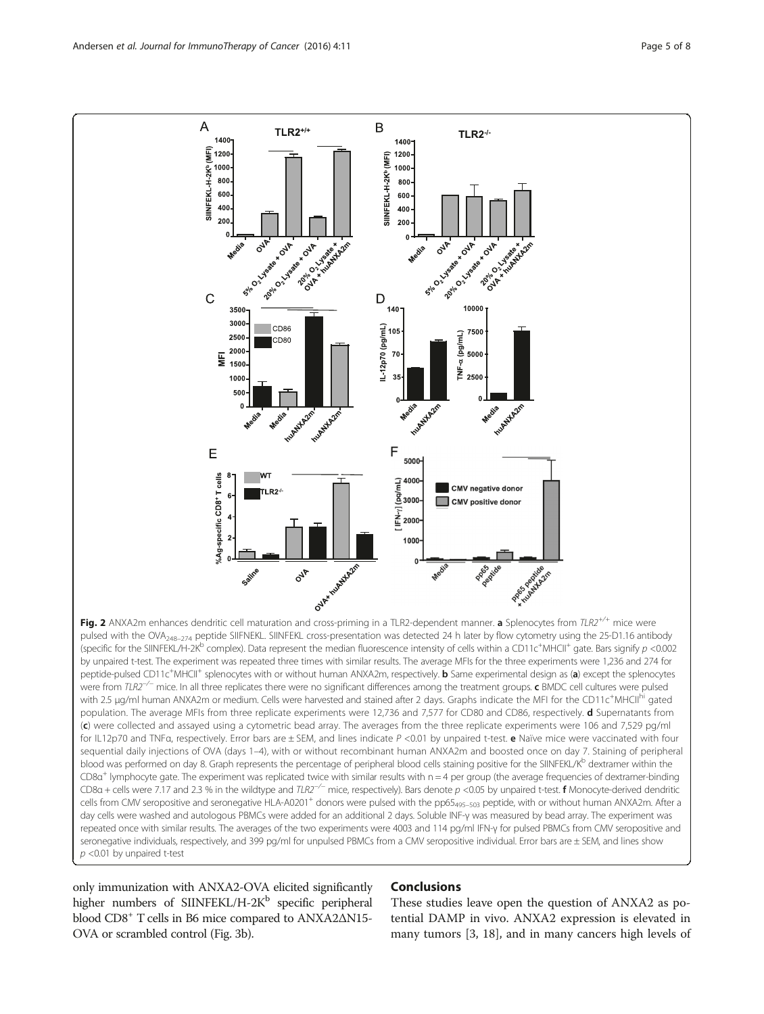<span id="page-4-0"></span>

with 2.5 µg/ml human ANXA2m or medium. Cells were harvested and stained after 2 days. Graphs indicate the MFI for the CD11c<sup>+</sup>MHCII<sup>hi</sup> gated population. The average MFIs from three replicate experiments were 12,736 and 7,577 for CD80 and CD86, respectively. d Supernatants from (c) were collected and assayed using a cytometric bead array. The averages from the three replicate experiments were 106 and 7,529 pg/ml for IL12p70 and TNFa, respectively. Error bars are ± SEM, and lines indicate P <0.01 by unpaired t-test. e Naïve mice were vaccinated with four sequential daily injections of OVA (days 1–4), with or without recombinant human ANXA2m and boosted once on day 7. Staining of peripheral blood was performed on day 8. Graph represents the percentage of peripheral blood cells staining positive for the SIINFEKL/K<sup>b</sup> dextramer within the  $CD8a<sup>+</sup>$  lymphocyte gate. The experiment was replicated twice with similar results with  $n = 4$  per group (the average frequencies of dextramer-binding CD8 $a$  + cells were 7.17 and 2.3 % in the wildtype and TLR2<sup>-/−</sup> mice, respectively). Bars denote  $p$  <0.05 by unpaired t-test. **f** Monocyte-derived dendritic cells from CMV seropositive and seronegative HLA-A0201<sup>+</sup> donors were pulsed with the pp65<sub>495-503</sub> peptide, with or without human ANXA2m. After a day cells were washed and autologous PBMCs were added for an additional 2 days. Soluble INF-γ was measured by bead array. The experiment was repeated once with similar results. The averages of the two experiments were 4003 and 114 pg/ml IFN-γ for pulsed PBMCs from CMV seropositive and seronegative individuals, respectively, and 399 pg/ml for unpulsed PBMCs from a CMV seropositive individual. Error bars are ± SEM, and lines show  $p$  <0.01 by unpaired t-test

only immunization with ANXA2-OVA elicited significantly higher numbers of SIINFEKL/H-2 $K^b$  specific peripheral blood CD8+ T cells in B6 mice compared to ANXA2ΔΝ15- OVA or scrambled control (Fig. [3b\)](#page-5-0).

## Conclusions

These studies leave open the question of ANXA2 as potential DAMP in vivo. ANXA2 expression is elevated in many tumors [\[3](#page-7-0), [18](#page-7-0)], and in many cancers high levels of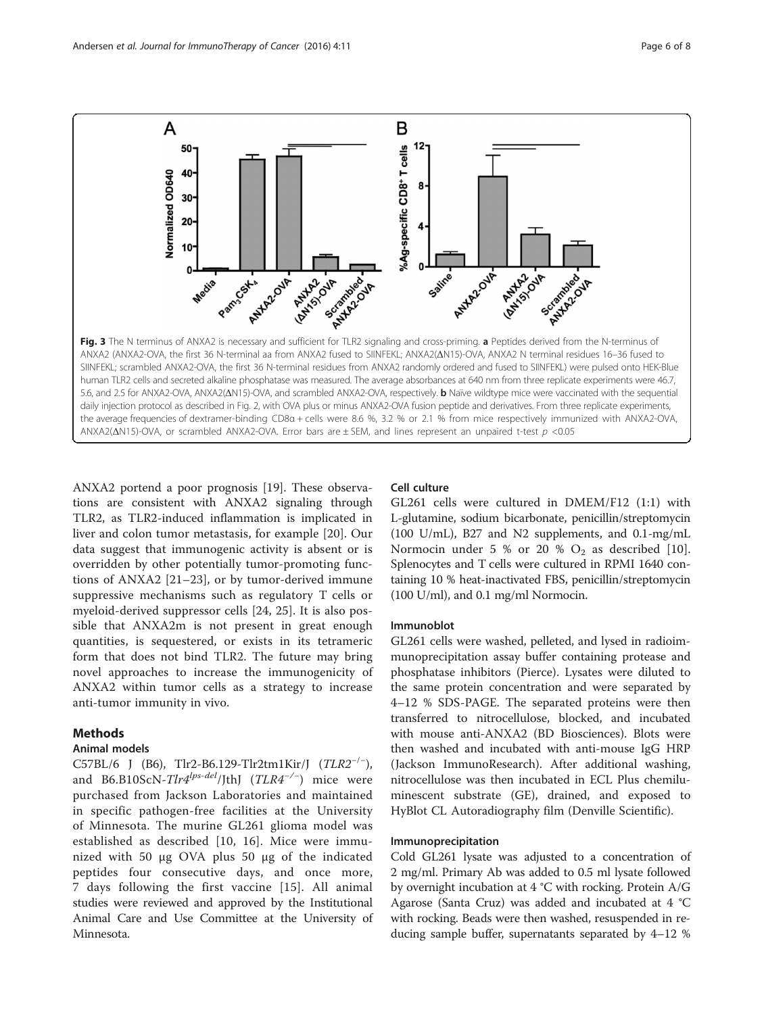<span id="page-5-0"></span>

ANXA2 portend a poor prognosis [\[19\]](#page-7-0). These observations are consistent with ANXA2 signaling through TLR2, as TLR2-induced inflammation is implicated in liver and colon tumor metastasis, for example [[20](#page-7-0)]. Our data suggest that immunogenic activity is absent or is overridden by other potentially tumor-promoting functions of ANXA2 [\[21](#page-7-0)–[23](#page-7-0)], or by tumor-derived immune suppressive mechanisms such as regulatory T cells or myeloid-derived suppressor cells [[24, 25](#page-7-0)]. It is also possible that ANXA2m is not present in great enough quantities, is sequestered, or exists in its tetrameric form that does not bind TLR2. The future may bring novel approaches to increase the immunogenicity of ANXA2 within tumor cells as a strategy to increase anti-tumor immunity in vivo.

## Methods

## Animal models

C57BL/6 J (B6), Tlr2-B6.129-Tlr2tm1Kir/J  $(TLR2^{-/-})$ , and B6.B10ScN-Tlr4<sup>lps-del</sup>/JthJ (TLR4<sup>-/-)</sup> mice were purchased from Jackson Laboratories and maintained in specific pathogen-free facilities at the University of Minnesota. The murine GL261 glioma model was established as described [\[10, 16](#page-7-0)]. Mice were immunized with 50 μg OVA plus 50 μg of the indicated peptides four consecutive days, and once more, 7 days following the first vaccine [\[15\]](#page-7-0). All animal studies were reviewed and approved by the Institutional Animal Care and Use Committee at the University of Minnesota.

### Cell culture

GL261 cells were cultured in DMEM/F12 (1:1) with L-glutamine, sodium bicarbonate, penicillin/streptomycin (100 U/mL), B27 and N2 supplements, and 0.1-mg/mL Normocin under 5 % or 20 %  $O_2$  as described [\[10](#page-7-0)]. Splenocytes and T cells were cultured in RPMI 1640 containing 10 % heat-inactivated FBS, penicillin/streptomycin (100 U/ml), and 0.1 mg/ml Normocin.

## Immunoblot

GL261 cells were washed, pelleted, and lysed in radioimmunoprecipitation assay buffer containing protease and phosphatase inhibitors (Pierce). Lysates were diluted to the same protein concentration and were separated by 4–12 % SDS-PAGE. The separated proteins were then transferred to nitrocellulose, blocked, and incubated with mouse anti-ANXA2 (BD Biosciences). Blots were then washed and incubated with anti-mouse IgG HRP (Jackson ImmunoResearch). After additional washing, nitrocellulose was then incubated in ECL Plus chemiluminescent substrate (GE), drained, and exposed to HyBlot CL Autoradiography film (Denville Scientific).

## Immunoprecipitation

Cold GL261 lysate was adjusted to a concentration of 2 mg/ml. Primary Ab was added to 0.5 ml lysate followed by overnight incubation at 4 °C with rocking. Protein A/G Agarose (Santa Cruz) was added and incubated at 4 °C with rocking. Beads were then washed, resuspended in reducing sample buffer, supernatants separated by 4–12 %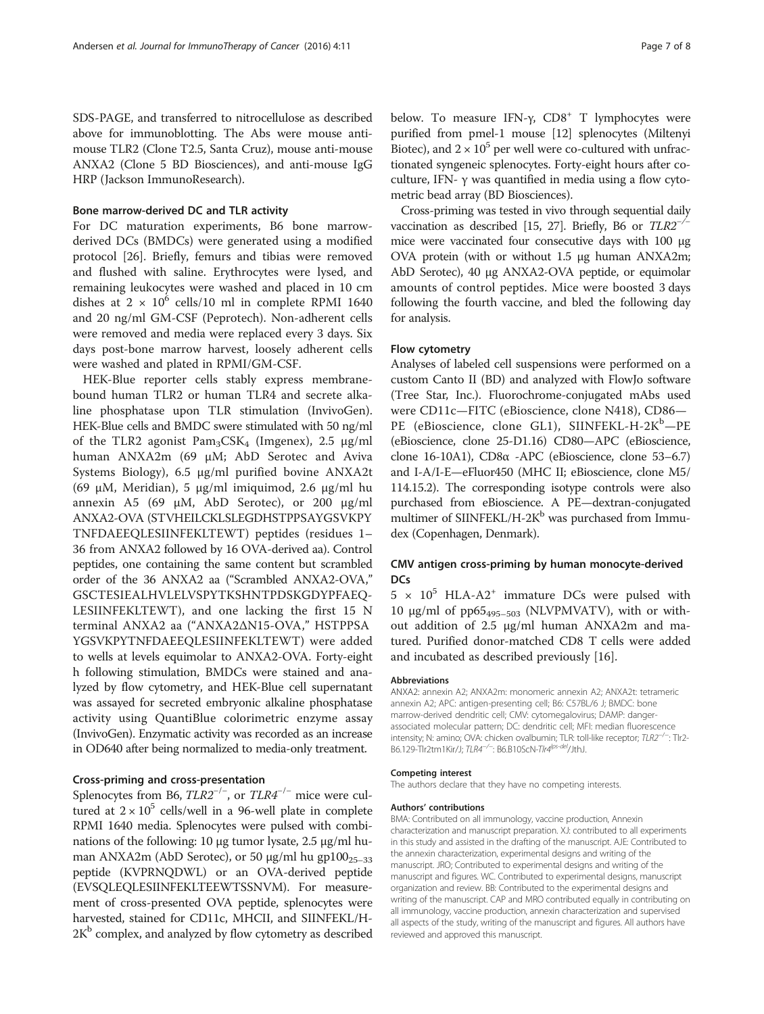SDS-PAGE, and transferred to nitrocellulose as described above for immunoblotting. The Abs were mouse antimouse TLR2 (Clone T2.5, Santa Cruz), mouse anti-mouse ANXA2 (Clone 5 BD Biosciences), and anti-mouse IgG HRP (Jackson ImmunoResearch).

## Bone marrow-derived DC and TLR activity

For DC maturation experiments, B6 bone marrowderived DCs (BMDCs) were generated using a modified protocol [[26\]](#page-7-0). Briefly, femurs and tibias were removed and flushed with saline. Erythrocytes were lysed, and remaining leukocytes were washed and placed in 10 cm dishes at  $2 \times 10^6$  cells/10 ml in complete RPMI 1640 and 20 ng/ml GM-CSF (Peprotech). Non-adherent cells were removed and media were replaced every 3 days. Six days post-bone marrow harvest, loosely adherent cells were washed and plated in RPMI/GM-CSF.

HEK-Blue reporter cells stably express membranebound human TLR2 or human TLR4 and secrete alkaline phosphatase upon TLR stimulation (InvivoGen). HEK-Blue cells and BMDC swere stimulated with 50 ng/ml of the TLR2 agonist  $Pam_3CSK_4$  (Imgenex), 2.5  $\mu$ g/ml human ANXA2m (69 μM; AbD Serotec and Aviva Systems Biology), 6.5 μg/ml purified bovine ANXA2t (69 μM, Meridian), 5 μg/ml imiquimod, 2.6 μg/ml hu annexin A5 (69 μM, AbD Serotec), or 200 μg/ml ANXA2-OVA (STVHEILCKLSLEGDHSTPPSAYGSVKPY TNFDAEEQLESIINFEKLTEWT) peptides (residues 1– 36 from ANXA2 followed by 16 OVA-derived aa). Control peptides, one containing the same content but scrambled order of the 36 ANXA2 aa ("Scrambled ANXA2-OVA," GSCTESIEALHVLELVSPYTKSHNTPDSKGDYPFAEQ-LESIINFEKLTEWT), and one lacking the first 15 N terminal ANXA2 aa ("ANXA2ΔΝ15-OVA," HSTPPSA YGSVKPYTNFDAEEQLESIINFEKLTEWT) were added to wells at levels equimolar to ANXA2-OVA. Forty-eight h following stimulation, BMDCs were stained and analyzed by flow cytometry, and HEK-Blue cell supernatant was assayed for secreted embryonic alkaline phosphatase activity using QuantiBlue colorimetric enzyme assay (InvivoGen). Enzymatic activity was recorded as an increase in OD640 after being normalized to media-only treatment.

## Cross-priming and cross-presentation

Splenocytes from B6, TLR2<sup>-/-</sup>, or TLR4<sup>-/-</sup> mice were cultured at  $2 \times 10^5$  cells/well in a 96-well plate in complete RPMI 1640 media. Splenocytes were pulsed with combinations of the following: 10 μg tumor lysate, 2.5 μg/ml human ANXA2m (AbD Serotec), or 50  $\mu$ g/ml hu gp100<sub>25–33</sub> peptide (KVPRNQDWL) or an OVA-derived peptide (EVSQLEQLESIINFEKLTEEWTSSNVM). For measurement of cross-presented OVA peptide, splenocytes were harvested, stained for CD11c, MHCII, and SIINFEKL/H- $2K<sup>b</sup>$  complex, and analyzed by flow cytometry as described below. To measure IFN-γ,  $CD8<sup>+</sup>$  T lymphocytes were purified from pmel-1 mouse [\[12](#page-7-0)] splenocytes (Miltenyi Biotec), and  $2 \times 10^5$  per well were co-cultured with unfractionated syngeneic splenocytes. Forty-eight hours after coculture, IFN- γ was quantified in media using a flow cytometric bead array (BD Biosciences).

Cross-priming was tested in vivo through sequential daily vaccination as described [\[15](#page-7-0), [27](#page-7-0)]. Briefly, B6 or TLR2−/<sup>−</sup> mice were vaccinated four consecutive days with 100 μg OVA protein (with or without 1.5 μg human ANXA2m; AbD Serotec), 40 μg ANXA2-OVA peptide, or equimolar amounts of control peptides. Mice were boosted 3 days following the fourth vaccine, and bled the following day for analysis.

#### Flow cytometry

Analyses of labeled cell suspensions were performed on a custom Canto II (BD) and analyzed with FlowJo software (Tree Star, Inc.). Fluorochrome-conjugated mAbs used were CD11c—FITC (eBioscience, clone N418), CD86— PE (eBioscience, clone GL1), SIINFEKL-H-2K<sup>b</sup>-PE (eBioscience, clone 25-D1.16) CD80—APC (eBioscience, clone 16-10A1), CD8α -APC (eBioscience, clone 53–6.7) and I-A/I-E—eFluor450 (MHC II; eBioscience, clone M5/ 114.15.2). The corresponding isotype controls were also purchased from eBioscience. A PE—dextran-conjugated multimer of SIINFEKL/H-2 $K<sup>b</sup>$  was purchased from Immudex (Copenhagen, Denmark).

## CMV antigen cross-priming by human monocyte-derived D<sub>Cs</sub>

 $5 \times 10^5$  HLA-A2<sup>+</sup> immature DCs were pulsed with 10 μg/ml of  $pp65<sub>495–503</sub>$  (NLVPMVATV), with or without addition of 2.5 μg/ml human ANXA2m and matured. Purified donor-matched CD8 T cells were added and incubated as described previously [\[16](#page-7-0)].

#### Abbreviations

ANXA2: annexin A2; ANXA2m: monomeric annexin A2; ANXA2t: tetrameric annexin A2; APC: antigen-presenting cell; B6: C57BL/6 J; BMDC: bone marrow-derived dendritic cell; CMV: cytomegalovirus; DAMP: dangerassociated molecular pattern; DC: dendritic cell; MFI: median fluorescence intensity; N: amino; OVA: chicken ovalbumin; TLR: toll-like receptor; TLR2<sup>-/-</sup>: Tlr2-B6.129-Tlr2tm1Kir/J; TLR4<sup>-/-</sup>: B6.B10ScN-Tlr4<sup>lps-del</sup>/JthJ.

#### Competing interest

The authors declare that they have no competing interests.

#### Authors' contributions

BMA: Contributed on all immunology, vaccine production, Annexin characterization and manuscript preparation. XJ: contributed to all experiments in this study and assisted in the drafting of the manuscript. AJE: Contributed to the annexin characterization, experimental designs and writing of the manuscript. JRO; Contributed to experimental designs and writing of the manuscript and figures. WC. Contributed to experimental designs, manuscript organization and review. BB: Contributed to the experimental designs and writing of the manuscript. CAP and MRO contributed equally in contributing on all immunology, vaccine production, annexin characterization and supervised all aspects of the study, writing of the manuscript and figures. All authors have reviewed and approved this manuscript.